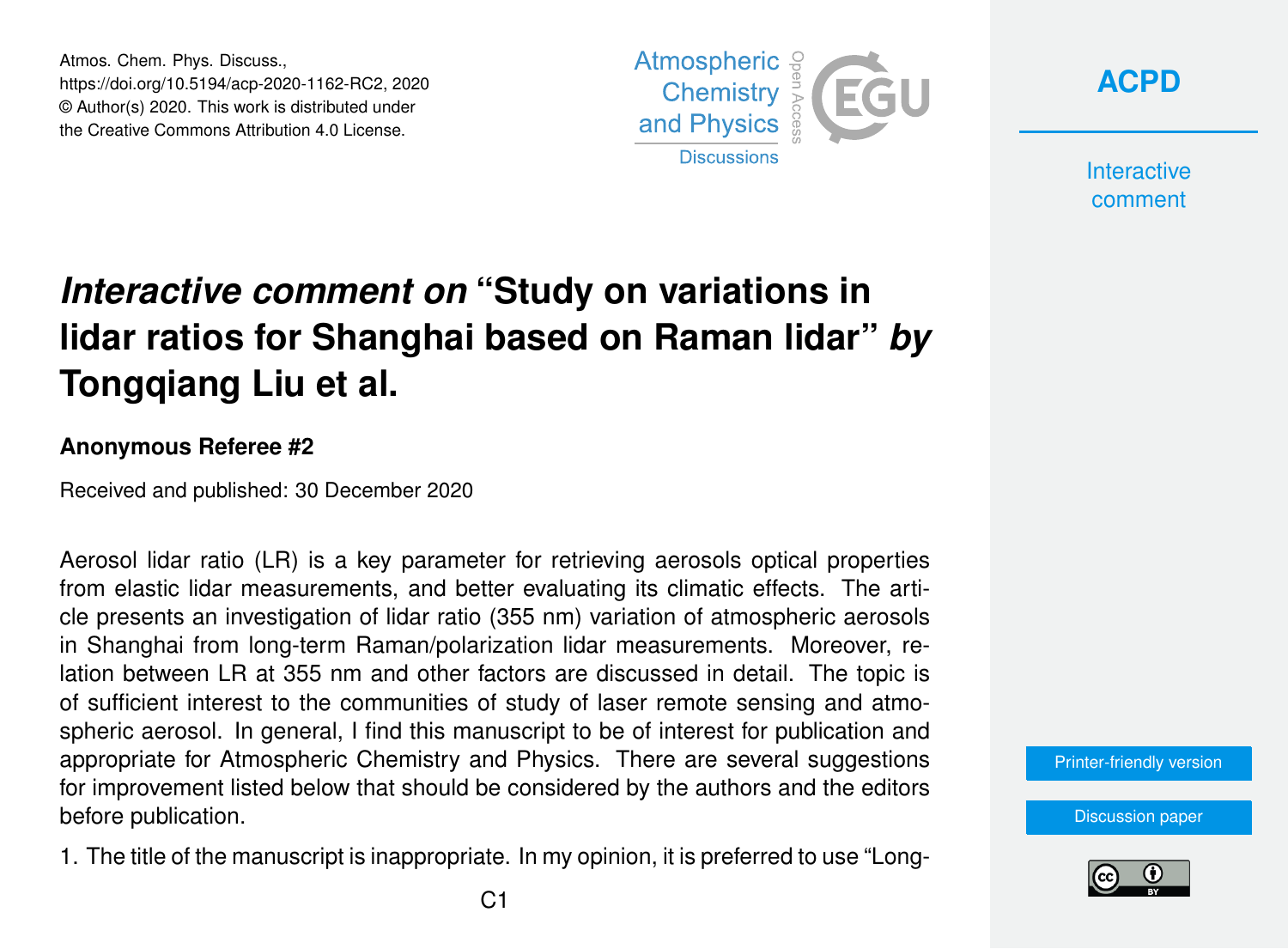Atmos. Chem. Phys. Discuss., https://doi.org/10.5194/acp-2020-1162-RC2, 2020 © Author(s) 2020. This work is distributed under the Creative Commons Attribution 4.0 License.





**Interactive** comment

## *Interactive comment on* **"Study on variations in lidar ratios for Shanghai based on Raman lidar"** *by* **Tongqiang Liu et al.**

## **Anonymous Referee #2**

Received and published: 30 December 2020

Aerosol lidar ratio (LR) is a key parameter for retrieving aerosols optical properties from elastic lidar measurements, and better evaluating its climatic effects. The article presents an investigation of lidar ratio (355 nm) variation of atmospheric aerosols in Shanghai from long-term Raman/polarization lidar measurements. Moreover, relation between LR at 355 nm and other factors are discussed in detail. The topic is of sufficient interest to the communities of study of laser remote sensing and atmospheric aerosol. In general, I find this manuscript to be of interest for publication and appropriate for Atmospheric Chemistry and Physics. There are several suggestions for improvement listed below that should be considered by the authors and the editors before publication.

1. The title of the manuscript is inappropriate. In my opinion, it is preferred to use "Long-



[Discussion paper](https://acp.copernicus.org/preprints/acp-2020-1162)

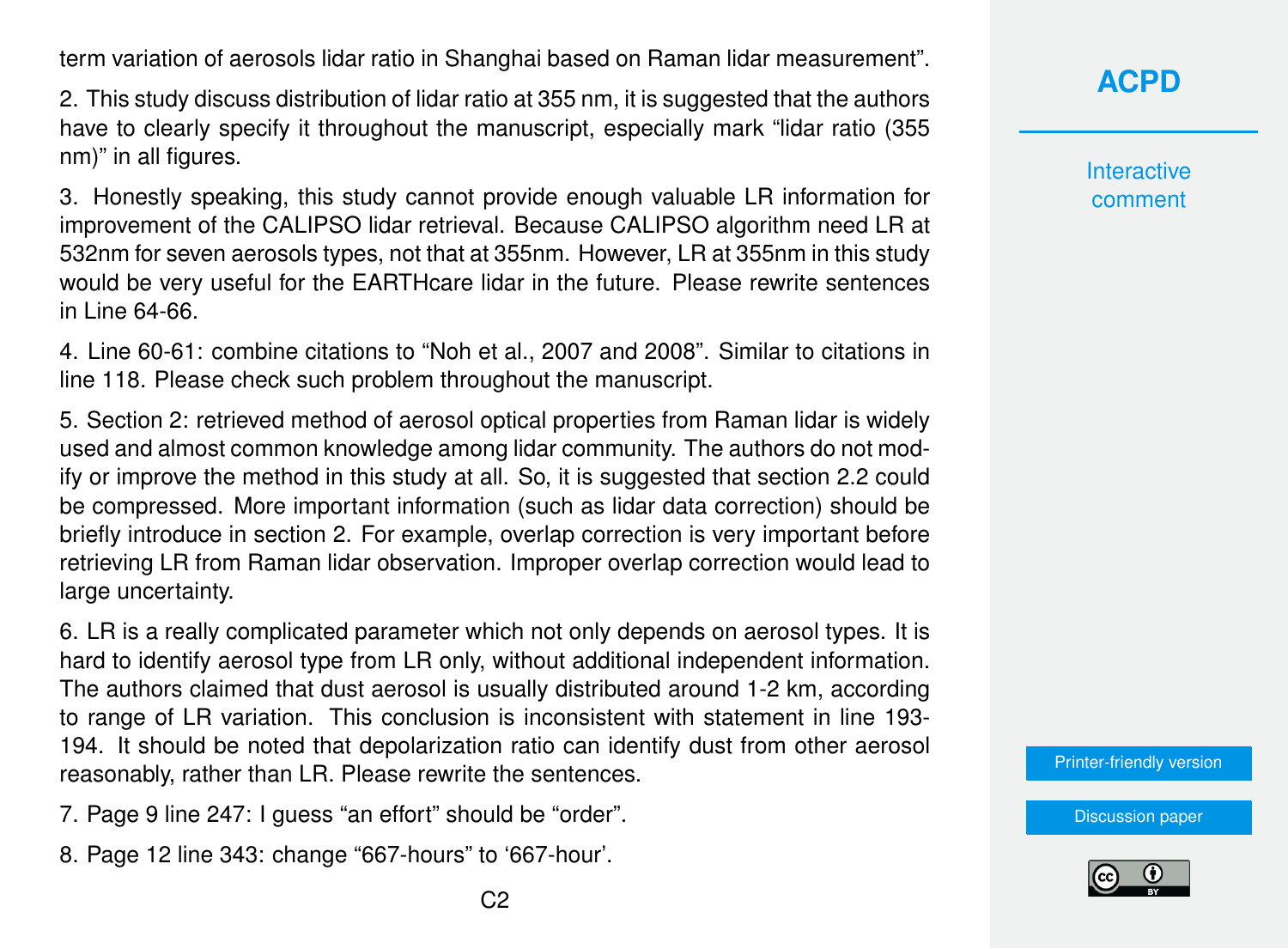term variation of aerosols lidar ratio in Shanghai based on Raman lidar measurement".

2. This study discuss distribution of lidar ratio at 355 nm, it is suggested that the authors have to clearly specify it throughout the manuscript, especially mark "lidar ratio (355 nm)" in all figures.

3. Honestly speaking, this study cannot provide enough valuable LR information for improvement of the CALIPSO lidar retrieval. Because CALIPSO algorithm need LR at 532nm for seven aerosols types, not that at 355nm. However, LR at 355nm in this study would be very useful for the EARTHcare lidar in the future. Please rewrite sentences in Line 64-66.

4. Line 60-61: combine citations to "Noh et al., 2007 and 2008". Similar to citations in line 118. Please check such problem throughout the manuscript.

5. Section 2: retrieved method of aerosol optical properties from Raman lidar is widely used and almost common knowledge among lidar community. The authors do not modify or improve the method in this study at all. So, it is suggested that section 2.2 could be compressed. More important information (such as lidar data correction) should be briefly introduce in section 2. For example, overlap correction is very important before retrieving LR from Raman lidar observation. Improper overlap correction would lead to large uncertainty.

6. LR is a really complicated parameter which not only depends on aerosol types. It is hard to identify aerosol type from LR only, without additional independent information. The authors claimed that dust aerosol is usually distributed around 1-2 km, according to range of LR variation. This conclusion is inconsistent with statement in line 193- 194. It should be noted that depolarization ratio can identify dust from other aerosol reasonably, rather than LR. Please rewrite the sentences.

- 7. Page 9 line 247: I guess "an effort" should be "order".
- 8. Page 12 line 343: change "667-hours" to '667-hour'.

**[ACPD](https://acp.copernicus.org/preprints/)**

**Interactive** comment

[Printer-friendly version](https://acp.copernicus.org/preprints/acp-2020-1162/acp-2020-1162-RC2-print.pdf)

[Discussion paper](https://acp.copernicus.org/preprints/acp-2020-1162)